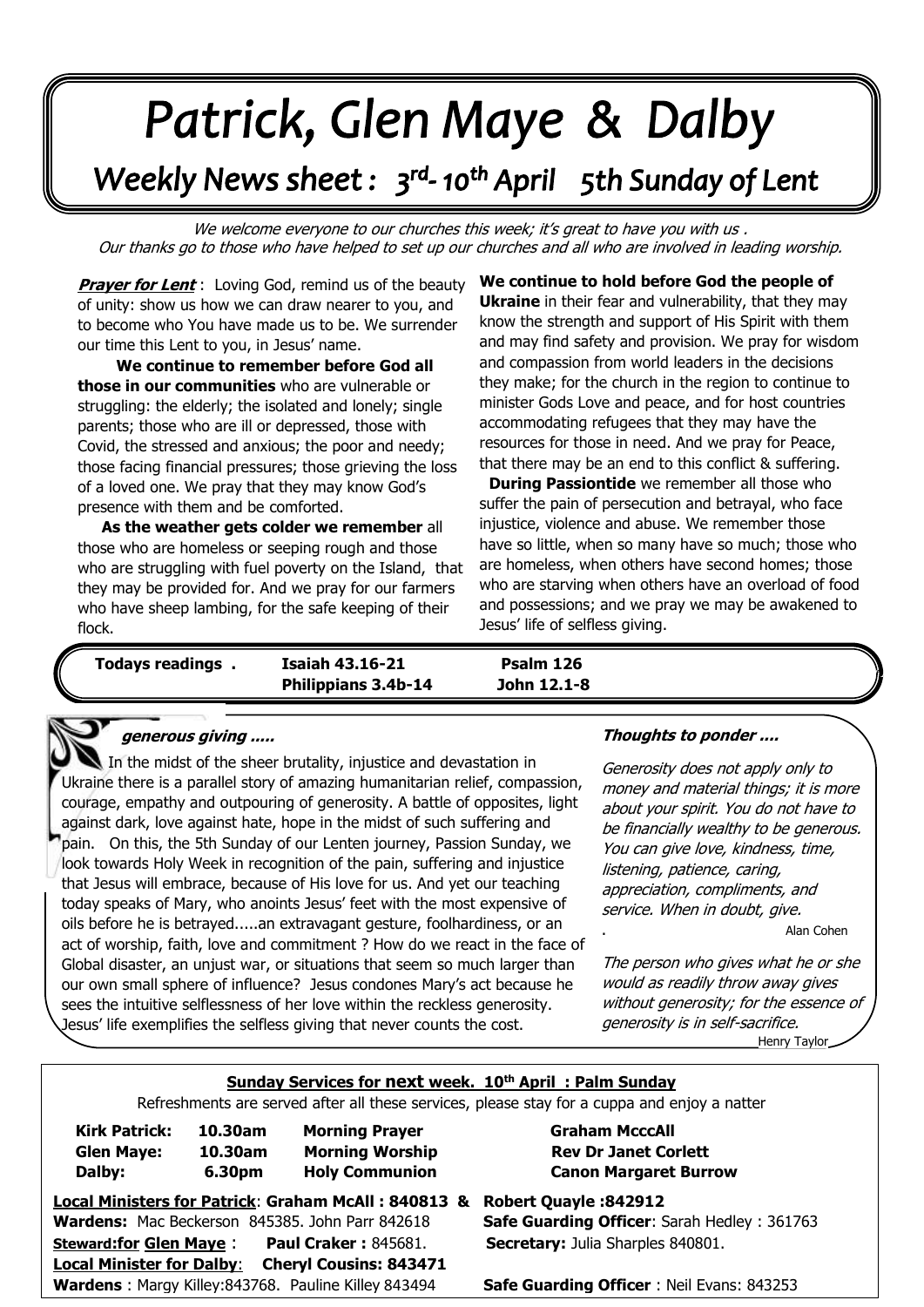# Patrick, Glen Maye & Dalby

# Weekly News sheet: 3<sup>rd</sup>-10<sup>th</sup> April 5th Sunday of Lent

We welcome everyone to our churches this week; it's great to have you with us. Our thanks go to those who have helped to set up our churches and all who are involved in leading worship.

**Prayer for Lent**: Loving God, remind us of the beauty of unity: show us how we can draw nearer to you, and to become who You have made us to be. We surrender our time this Lent to you, in Jesus' name.

 those facing financial pressures; those grieving the loss or a loved one. We pray that they may<br>presence with them and be comforted. . **We continue to remember before God all those in our communities** who are vulnerable or struggling: the elderly; the isolated and lonely; single parents; those who are ill or depressed, those with Covid, the stressed and anxious; the poor and needy; of a loved one. We pray that they may know God's

*June: Trinity Sunday* . **As the weather gets colder we remember** all those who are homeless or seeping rough and those who are struggling with fuel poverty on the Island, that they may be provided for. And we pray for our farmers who have sheep lambing, for the safe keeping of their flock.

**We continue to hold before God the people of Ukraine** in their fear and vulnerability, that they may know the strength and support of His Spirit with them and may find safety and provision. We pray for wisdom and compassion from world leaders in the decisions they make; for the church in the region to continue to minister Gods Love and peace, and for host countries accommodating refugees that they may have the resources for those in need. And we pray for Peace, that there may be an end to this conflict & suffering.

. **During Passiontide** we remember all those who suffer the pain of persecution and betrayal, who face injustice, violence and abuse. We remember those have so little, when so many have so much; those who are homeless, when others have second homes; those who are starving when others have an overload of food and possessions; and we pray we may be awakened to Jesus' life of selfless giving.

**Todays readings . Isaiah 43.16-21 Psalm 126 Philippians 3.4b-14 John 12.1-8**

### **generous giving .....**

 look towards Holy Week in recognition of the pain, suffering and injustice  that Jesus will embrace, because of His love for us. And yet our teaching  today speaks of Mary, who anoints Jesus' feet with the most expensive of  Global disaster, an unjust war, or situations that seem so much larger than  our own small sphere of influence? Jesus condones Mary's act because he In the midst of the sheer brutality, injustice and devastation in Ukraine there is a parallel story of amazing humanitarian relief, compassion, courage, empathy and outpouring of generosity. A battle of opposites, light against dark, love against hate, hope in the midst of such suffering and pain. On this, the 5th Sunday of our Lenten journey, Passion Sunday, we oils before he is betrayed.....an extravagant gesture, foolhardiness, or an act of worship, faith, love and commitment ? How do we react in the face of sees the intuitive selflessness of her love within the reckless generosity. Jesus' life exemplifies the selfless giving that never counts the cost.

#### **Thoughts to ponder ....**

Generosity does not apply only to money and material things; it is more about your spirit. You do not have to be financially wealthy to be generous. You can give love, kindness, time, listening, patience, caring, appreciation, compliments, and service. When in doubt, give.

. Alan Cohen

The person who gives what he or she would as readily throw away gives without generosity; for the essence of generosity is in self-sacrifice. Henry Taylor

## **Sunday Services for next week. 10th April : Palm Sunday**

Refreshments are served after all these services, please stay for a cuppa and enjoy a natter

| <b>Kirk Patrick:</b><br><b>Glen Maye:</b><br>Dalby:               | 10.30am<br>10.30am<br>6.30pm | <b>Morning Prayer</b><br><b>Morning Worship</b><br><b>Holy Communion</b> | <b>Graham McccAll</b><br><b>Rev Dr Janet Corlett</b><br><b>Canon Margaret Burrow</b> |
|-------------------------------------------------------------------|------------------------------|--------------------------------------------------------------------------|--------------------------------------------------------------------------------------|
| Local Ministers for Patrick: Graham McAll: 840813 &               |                              |                                                                          | <b>Robert Quayle: 842912</b>                                                         |
|                                                                   |                              | Wardens: Mac Beckerson 845385. John Parr 842618                          | <b>Safe Guarding Officer: Sarah Hedley: 361763</b>                                   |
| <b>Steward:for Glen Maye:</b>                                     |                              | <b>Paul Craker: 845681.</b>                                              | <b>Secretary: Julia Sharples 840801.</b>                                             |
| <b>Local Minister for Dalby:</b><br><b>Cheryl Cousins: 843471</b> |                              |                                                                          |                                                                                      |
| Wardens: Margy Killey: 843768. Pauline Killey 843494              |                              |                                                                          | <b>Safe Guarding Officer: Neil Evans: 843253</b>                                     |